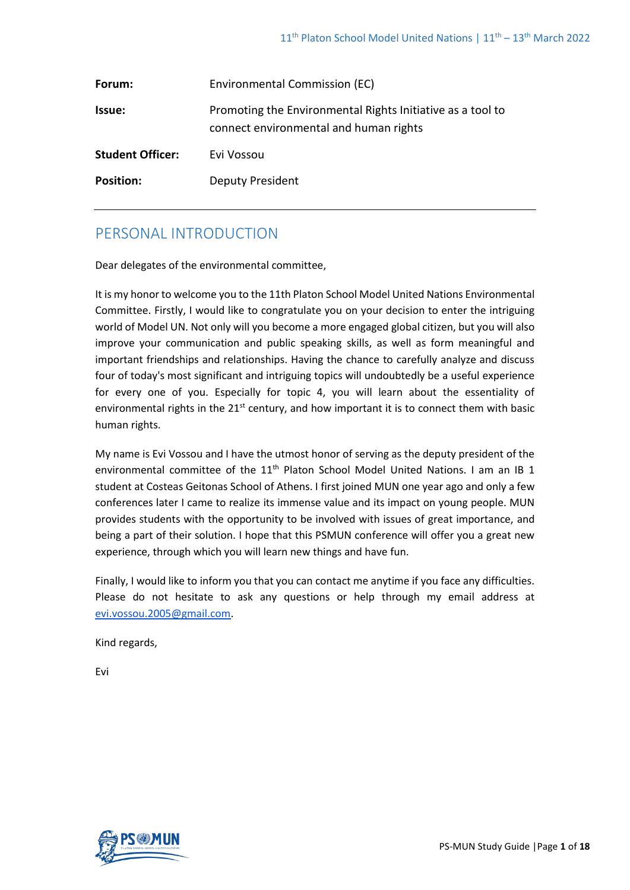| Forum:                  | Environmental Commission (EC)                                                                        |
|-------------------------|------------------------------------------------------------------------------------------------------|
| Issue:                  | Promoting the Environmental Rights Initiative as a tool to<br>connect environmental and human rights |
| <b>Student Officer:</b> | Evi Vossou                                                                                           |
| <b>Position:</b>        | <b>Deputy President</b>                                                                              |

# PERSONAL INTRODUCTION

Dear delegates of the environmental committee,

It is my honor to welcome you to the 11th Platon School Model United Nations Environmental Committee. Firstly, I would like to congratulate you on your decision to enter the intriguing world of Model UN. Not only will you become a more engaged global citizen, but you will also improve your communication and public speaking skills, as well as form meaningful and important friendships and relationships. Having the chance to carefully analyze and discuss four of today's most significant and intriguing topics will undoubtedly be a useful experience for every one of you. Especially for topic 4, you will learn about the essentiality of environmental rights in the 21<sup>st</sup> century, and how important it is to connect them with basic human rights.

My name is Evi Vossou and I have the utmost honor of serving as the deputy president of the environmental committee of the 11<sup>th</sup> Platon School Model United Nations. I am an IB 1 student at Costeas Geitonas School of Athens. I first joined MUN one year ago and only a few conferences later I came to realize its immense value and its impact on young people. MUN provides students with the opportunity to be involved with issues of great importance, and being a part of their solution. I hope that this PSMUN conference will offer you a great new experience, through which you will learn new things and have fun.

Finally, I would like to inform you that you can contact me anytime if you face any difficulties. Please do not hesitate to ask any questions or help through my email address at [evi.vossou.2005@gmail.com.](mailto:evi.vossou.2005@gmail.com)

Kind regards,

Evi

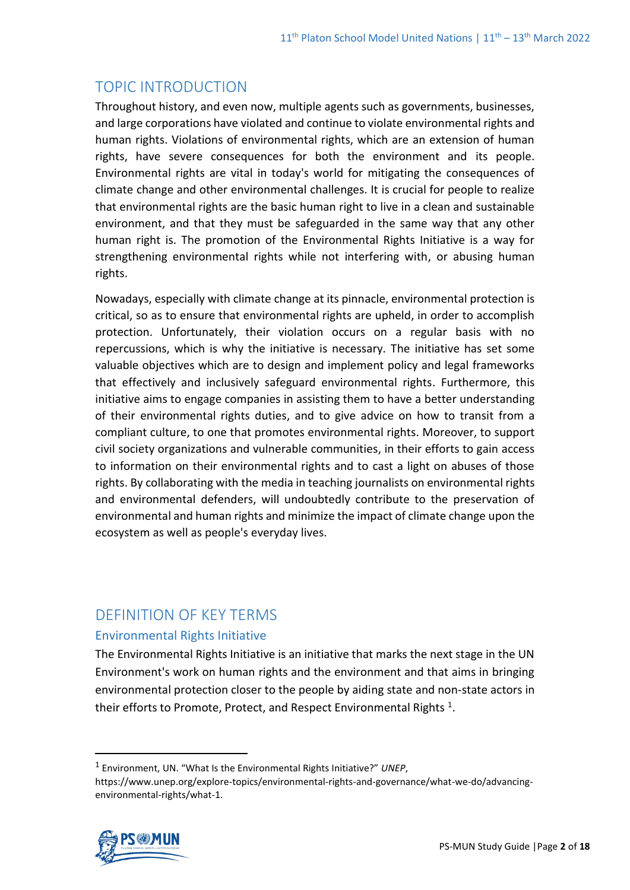# TOPIC INTRODUCTION

Throughout history, and even now, multiple agents such as governments, businesses, and large corporations have violated and continue to violate environmental rights and human rights. Violations of environmental rights, which are an extension of human rights, have severe consequences for both the environment and its people. Environmental rights are vital in today's world for mitigating the consequences of climate change and other environmental challenges. It is crucial for people to realize that environmental rights are the basic human right to live in a clean and sustainable environment, and that they must be safeguarded in the same way that any other human right is. The promotion of the Environmental Rights Initiative is a way for strengthening environmental rights while not interfering with, or abusing human rights.

Nowadays, especially with climate change at its pinnacle, environmental protection is critical, so as to ensure that environmental rights are upheld, in order to accomplish protection. Unfortunately, their violation occurs on a regular basis with no repercussions, which is why the initiative is necessary. The initiative has set some valuable objectives which are to design and implement policy and legal frameworks that effectively and inclusively safeguard environmental rights. Furthermore, this initiative aims to engage companies in assisting them to have a better understanding of their environmental rights duties, and to give advice on how to transit from a compliant culture, to one that promotes environmental rights. Moreover, to support civil society organizations and vulnerable communities, in their efforts to gain access to information on their environmental rights and to cast a light on abuses of those rights. By collaborating with the media in teaching journalists on environmental rights and environmental defenders, will undoubtedly contribute to the preservation of environmental and human rights and minimize the impact of climate change upon the ecosystem as well as people's everyday lives.

# DEFINITION OF KEY TERMS

## Environmental Rights Initiative

The Environmental Rights Initiative is an initiative that marks the next stage in the UN Environment's work on human rights and the environment and that aims in bringing environmental protection closer to the people by aiding state and non-state actors in their efforts to Promote, Protect, and Respect Environmental Rights  $^1$ .

https://www.unep.org/explore-topics/environmental-rights-and-governance/what-we-do/advancingenvironmental-rights/what-1.



<sup>1</sup> Environment, UN. "What Is the Environmental Rights Initiative?" *UNEP*,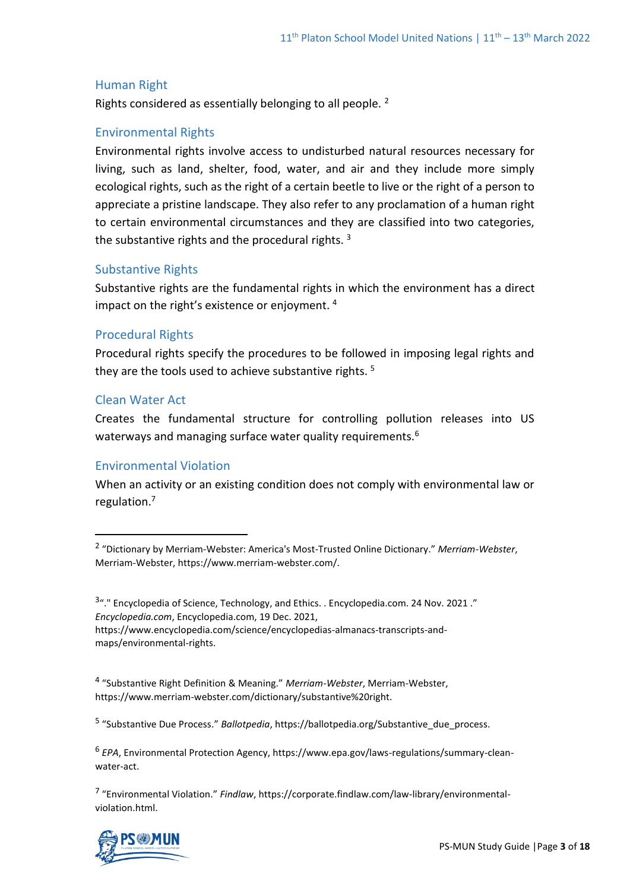### Human Right

Rights considered as essentially belonging to all people.<sup>2</sup>

#### Environmental Rights

Environmental rights involve access to undisturbed natural resources necessary for living, such as land, shelter, food, water, and air and they include more simply ecological rights, such as the right of a certain beetle to live or the right of a person to appreciate a pristine landscape. They also refer to any proclamation of a human right to certain environmental circumstances and they are classified into two categories, the substantive rights and the procedural rights.<sup>3</sup>

### Substantive Rights

Substantive rights are the fundamental rights in which the environment has a direct impact on the right's existence or enjoyment. <sup>4</sup>

### Procedural Rights

Procedural rights specify the procedures to be followed in imposing legal rights and they are the tools used to achieve substantive rights.<sup>5</sup>

#### Clean Water Act

Creates the fundamental structure for controlling pollution releases into US waterways and managing surface water quality requirements.<sup>6</sup>

#### Environmental Violation

When an activity or an existing condition does not comply with environmental law or regulation.<sup>7</sup>

5 "Substantive Due Process." *Ballotpedia*, https://ballotpedia.org/Substantive\_due\_process.

6 *EPA*, Environmental Protection Agency, https://www.epa.gov/laws-regulations/summary-cleanwater-act.

7 "Environmental Violation." *Findlaw*, https://corporate.findlaw.com/law-library/environmentalviolation.html.



<sup>2</sup> "Dictionary by Merriam-Webster: America's Most-Trusted Online Dictionary." *Merriam-Webster*, Merriam-Webster, https://www.merriam-webster.com/.

<sup>&</sup>lt;sup>3</sup>". "Encyclopedia of Science, Technology, and Ethics. . Encyclopedia.com. 24 Nov. 2021." *Encyclopedia.com*, Encyclopedia.com, 19 Dec. 2021, https://www.encyclopedia.com/science/encyclopedias-almanacs-transcripts-andmaps/environmental-rights.

<sup>4</sup> "Substantive Right Definition & Meaning." *Merriam-Webster*, Merriam-Webster, https://www.merriam-webster.com/dictionary/substantive%20right.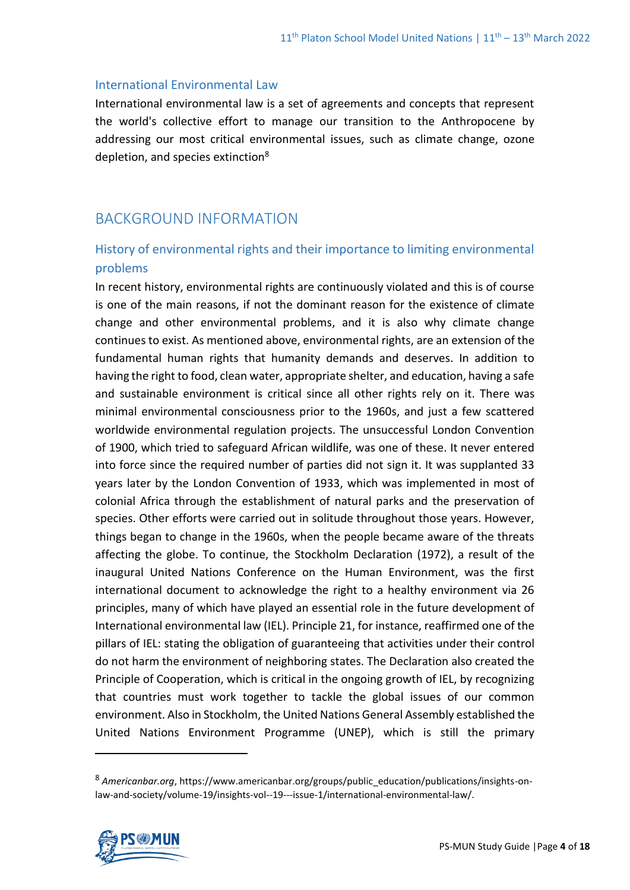### International Environmental Law

International environmental law is a set of agreements and concepts that represent the world's collective effort to manage our transition to the Anthropocene by addressing our most critical environmental issues, such as climate change, ozone depletion, and species extinction<sup>8</sup>

# BACKGROUND INFORMATION

# History of environmental rights and their importance to limiting environmental problems

In recent history, environmental rights are continuously violated and this is of course is one of the main reasons, if not the dominant reason for the existence of climate change and other environmental problems, and it is also why climate change continues to exist. As mentioned above, environmental rights, are an extension of the fundamental human rights that humanity demands and deserves. In addition to having the right to food, clean water, appropriate shelter, and education, having a safe and sustainable environment is critical since all other rights rely on it. There was minimal environmental consciousness prior to the 1960s, and just a few scattered worldwide environmental regulation projects. The unsuccessful London Convention of 1900, which tried to safeguard African wildlife, was one of these. It never entered into force since the required number of parties did not sign it. It was supplanted 33 years later by the London Convention of 1933, which was implemented in most of colonial Africa through the establishment of natural parks and the preservation of species. Other efforts were carried out in solitude throughout those years. However, things began to change in the 1960s, when the people became aware of the threats affecting the globe. To continue, the Stockholm Declaration (1972), a result of the inaugural United Nations Conference on the Human Environment, was the first international document to acknowledge the right to a healthy environment via 26 principles, many of which have played an essential role in the future development of International environmental law (IEL). Principle 21, for instance, reaffirmed one of the pillars of IEL: stating the obligation of guaranteeing that activities under their control do not harm the environment of neighboring states. The Declaration also created the Principle of Cooperation, which is critical in the ongoing growth of IEL, by recognizing that countries must work together to tackle the global issues of our common environment. Also in Stockholm, the United Nations General Assembly established the United Nations Environment Programme (UNEP), which is still the primary

<sup>8</sup> *Americanbar.org*, https://www.americanbar.org/groups/public\_education/publications/insights-onlaw-and-society/volume-19/insights-vol--19---issue-1/international-environmental-law/.

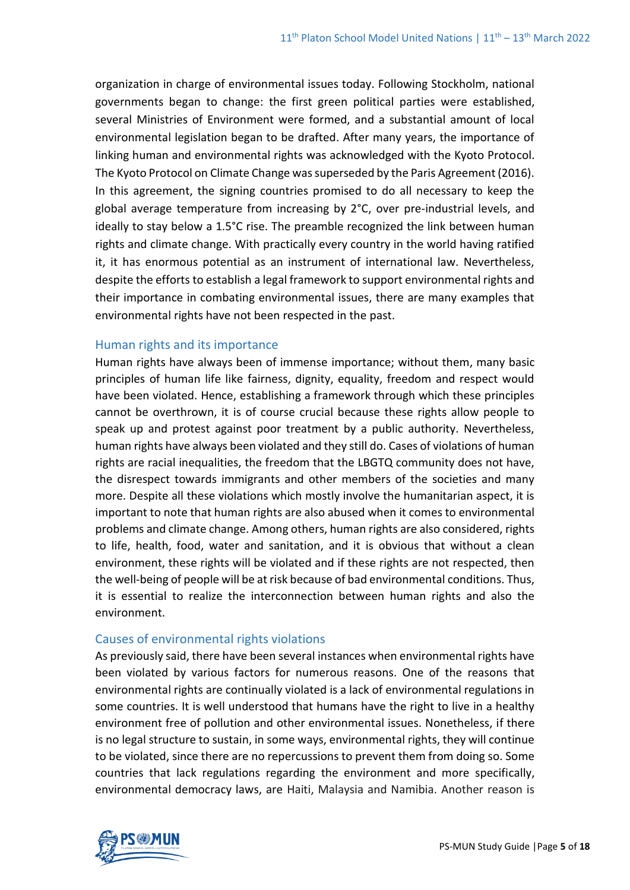organization in charge of environmental issues today. Following Stockholm, national governments began to change: the first green political parties were established, several Ministries of Environment were formed, and a substantial amount of local environmental legislation began to be drafted. After many years, the importance of linking human and environmental rights was acknowledged with the Kyoto Protocol. The Kyoto Protocol on Climate Change was superseded by the Paris Agreement (2016). In this agreement, the signing countries promised to do all necessary to keep the global average temperature from increasing by 2°C, over pre-industrial levels, and ideally to stay below a 1.5°C rise. The preamble recognized the link between human rights and climate change. With practically every country in the world having ratified it, it has enormous potential as an instrument of international law. Nevertheless, despite the efforts to establish a legal framework to support environmental rights and their importance in combating environmental issues, there are many examples that environmental rights have not been respected in the past.

### Human rights and its importance

Human rights have always been of immense importance; without them, many basic principles of human life like fairness, dignity, equality, freedom and respect would have been violated. Hence, establishing a framework through which these principles cannot be overthrown, it is of course crucial because these rights allow people to speak up and protest against poor treatment by a public authority. Nevertheless, human rights have always been violated and they still do. Cases of violations of human rights are racial inequalities, the freedom that the LBGTQ community does not have, the disrespect towards immigrants and other members of the societies and many more. Despite all these violations which mostly involve the humanitarian aspect, it is important to note that human rights are also abused when it comes to environmental problems and climate change. Among others, human rights are also considered, rights to life, health, food, water and sanitation, and it is obvious that without a clean environment, these rights will be violated and if these rights are not respected, then the well-being of people will be at risk because of bad environmental conditions. Thus, it is essential to realize the interconnection between human rights and also the environment.

### Causes of environmental rights violations

As previously said, there have been several instances when environmental rights have been violated by various factors for numerous reasons. One of the reasons that environmental rights are continually violated is a lack of environmental regulations in some countries. It is well understood that humans have the right to live in a healthy environment free of pollution and other environmental issues. Nonetheless, if there is no legal structure to sustain, in some ways, environmental rights, they will continue to be violated, since there are no repercussions to prevent them from doing so. Some countries that lack regulations regarding the environment and more specifically, environmental democracy laws, are Haiti, Malaysia and Namibia. Another reason is

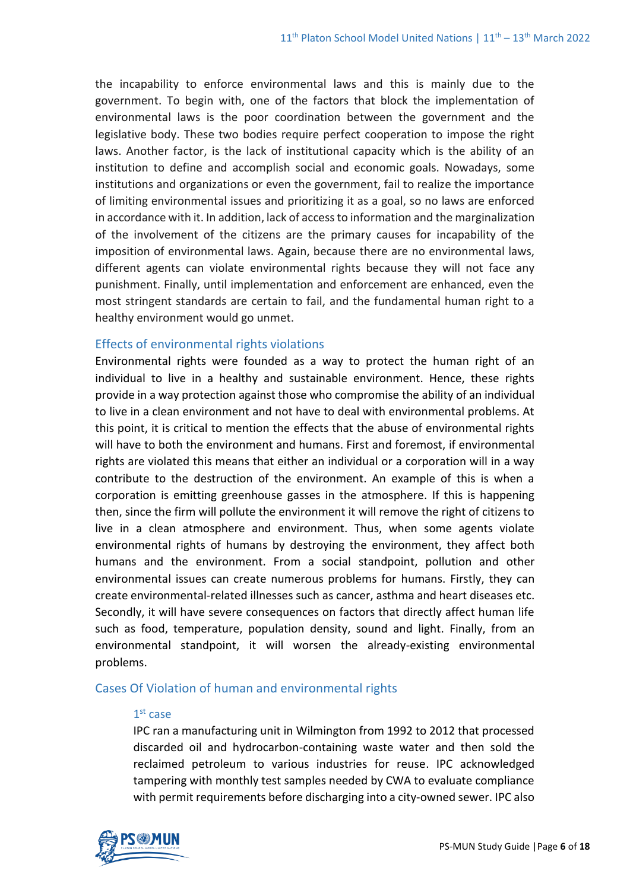the incapability to enforce environmental laws and this is mainly due to the government. To begin with, one of the factors that block the implementation of environmental laws is the poor coordination between the government and the legislative body. These two bodies require perfect cooperation to impose the right laws. Another factor, is the lack of institutional capacity which is the ability of an institution to define and accomplish social and economic goals. Nowadays, some institutions and organizations or even the government, fail to realize the importance of limiting environmental issues and prioritizing it as a goal, so no laws are enforced in accordance with it. In addition, lack of access to information and the marginalization of the involvement of the citizens are the primary causes for incapability of the imposition of environmental laws. Again, because there are no environmental laws, different agents can violate environmental rights because they will not face any punishment. Finally, until implementation and enforcement are enhanced, even the most stringent standards are certain to fail, and the fundamental human right to a healthy environment would go unmet.

### Effects of environmental rights violations

Environmental rights were founded as a way to protect the human right of an individual to live in a healthy and sustainable environment. Hence, these rights provide in a way protection against those who compromise the ability of an individual to live in a clean environment and not have to deal with environmental problems. At this point, it is critical to mention the effects that the abuse of environmental rights will have to both the environment and humans. First and foremost, if environmental rights are violated this means that either an individual or a corporation will in a way contribute to the destruction of the environment. An example of this is when a corporation is emitting greenhouse gasses in the atmosphere. If this is happening then, since the firm will pollute the environment it will remove the right of citizens to live in a clean atmosphere and environment. Thus, when some agents violate environmental rights of humans by destroying the environment, they affect both humans and the environment. From a social standpoint, pollution and other environmental issues can create numerous problems for humans. Firstly, they can create environmental-related illnesses such as cancer, asthma and heart diseases etc. Secondly, it will have severe consequences on factors that directly affect human life such as food, temperature, population density, sound and light. Finally, from an environmental standpoint, it will worsen the already-existing environmental problems.

### Cases Of Violation of human and environmental rights

#### 1 st case

IPC ran a manufacturing unit in Wilmington from 1992 to 2012 that processed discarded oil and hydrocarbon-containing waste water and then sold the reclaimed petroleum to various industries for reuse. IPC acknowledged tampering with monthly test samples needed by CWA to evaluate compliance with permit requirements before discharging into a city-owned sewer. IPC also

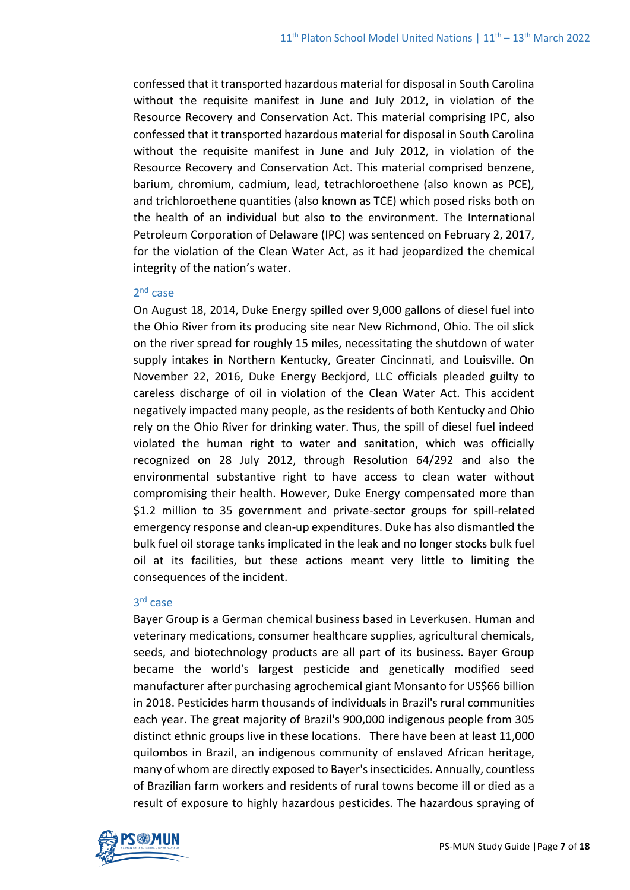confessed that it transported hazardous material for disposal in South Carolina without the requisite manifest in June and July 2012, in violation of the Resource Recovery and Conservation Act. This material comprising IPC, also confessed that it transported hazardous material for disposal in South Carolina without the requisite manifest in June and July 2012, in violation of the Resource Recovery and Conservation Act. This material comprised benzene, barium, chromium, cadmium, lead, tetrachloroethene (also known as PCE), and trichloroethene quantities (also known as TCE) which posed risks both on the health of an individual but also to the environment. The International Petroleum Corporation of Delaware (IPC) was sentenced on February 2, 2017, for the violation of the Clean Water Act, as it had jeopardized the chemical integrity of the nation's water.

### 2<sup>nd</sup> case

On August 18, 2014, Duke Energy spilled over 9,000 gallons of diesel fuel into the Ohio River from its producing site near New Richmond, Ohio. The oil slick on the river spread for roughly 15 miles, necessitating the shutdown of water supply intakes in Northern Kentucky, Greater Cincinnati, and Louisville. On November 22, 2016, Duke Energy Beckjord, LLC officials pleaded guilty to careless discharge of oil in violation of the Clean Water Act. This accident negatively impacted many people, as the residents of both Kentucky and Ohio rely on the Ohio River for drinking water. Thus, the spill of diesel fuel indeed violated the human right to water and sanitation, which was officially recognized on 28 July 2012, through Resolution 64/292 and also the environmental substantive right to have access to clean water without compromising their health. However, Duke Energy compensated more than \$1.2 million to 35 government and private-sector groups for spill-related emergency response and clean-up expenditures. Duke has also dismantled the bulk fuel oil storage tanks implicated in the leak and no longer stocks bulk fuel oil at its facilities, but these actions meant very little to limiting the consequences of the incident.

## 3 rd case

Bayer Group is a German chemical business based in Leverkusen. Human and veterinary medications, consumer healthcare supplies, agricultural chemicals, seeds, and biotechnology products are all part of its business. Bayer Group became the world's largest pesticide and genetically modified seed manufacturer after purchasing agrochemical giant Monsanto for US\$66 billion in 2018. Pesticides harm thousands of individuals in Brazil's rural communities each year. The great majority of Brazil's 900,000 indigenous people from 305 distinct ethnic groups live in these locations. There have been at least 11,000 quilombos in Brazil, an indigenous community of enslaved African heritage, many of whom are directly exposed to Bayer's insecticides. Annually, countless of Brazilian farm workers and residents of rural towns become ill or died as a result of exposure to highly hazardous pesticides. The hazardous spraying of

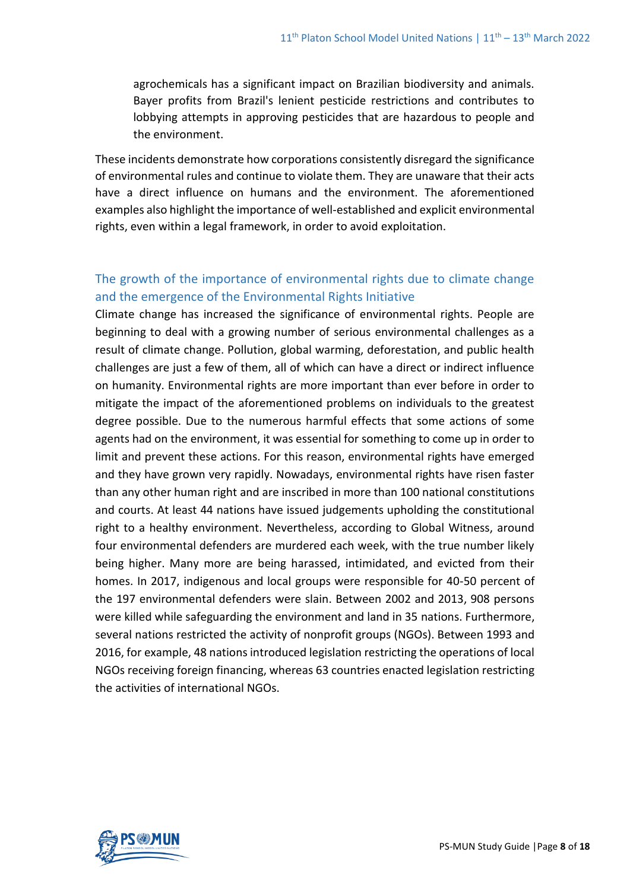agrochemicals has a significant impact on Brazilian biodiversity and animals. Bayer profits from Brazil's lenient pesticide restrictions and contributes to lobbying attempts in approving pesticides that are hazardous to people and the environment.

These incidents demonstrate how corporations consistently disregard the significance of environmental rules and continue to violate them. They are unaware that their acts have a direct influence on humans and the environment. The aforementioned examples also highlight the importance of well-established and explicit environmental rights, even within a legal framework, in order to avoid exploitation.

## The growth of the importance of environmental rights due to climate change and the emergence of the Environmental Rights Initiative

Climate change has increased the significance of environmental rights. People are beginning to deal with a growing number of serious environmental challenges as a result of climate change. Pollution, global warming, deforestation, and public health challenges are just a few of them, all of which can have a direct or indirect influence on humanity. Environmental rights are more important than ever before in order to mitigate the impact of the aforementioned problems on individuals to the greatest degree possible. Due to the numerous harmful effects that some actions of some agents had on the environment, it was essential for something to come up in order to limit and prevent these actions. For this reason, environmental rights have emerged and they have grown very rapidly. Nowadays, environmental rights have risen faster than any other human right and are inscribed in more than 100 national constitutions and courts. At least 44 nations have issued judgements upholding the constitutional right to a healthy environment. Nevertheless, according to Global Witness, around four environmental defenders are murdered each week, with the true number likely being higher. Many more are being harassed, intimidated, and evicted from their homes. In 2017, indigenous and local groups were responsible for 40-50 percent of the 197 environmental defenders were slain. Between 2002 and 2013, 908 persons were killed while safeguarding the environment and land in 35 nations. Furthermore, several nations restricted the activity of nonprofit groups (NGOs). Between 1993 and 2016, for example, 48 nations introduced legislation restricting the operations of local NGOs receiving foreign financing, whereas 63 countries enacted legislation restricting the activities of international NGOs.

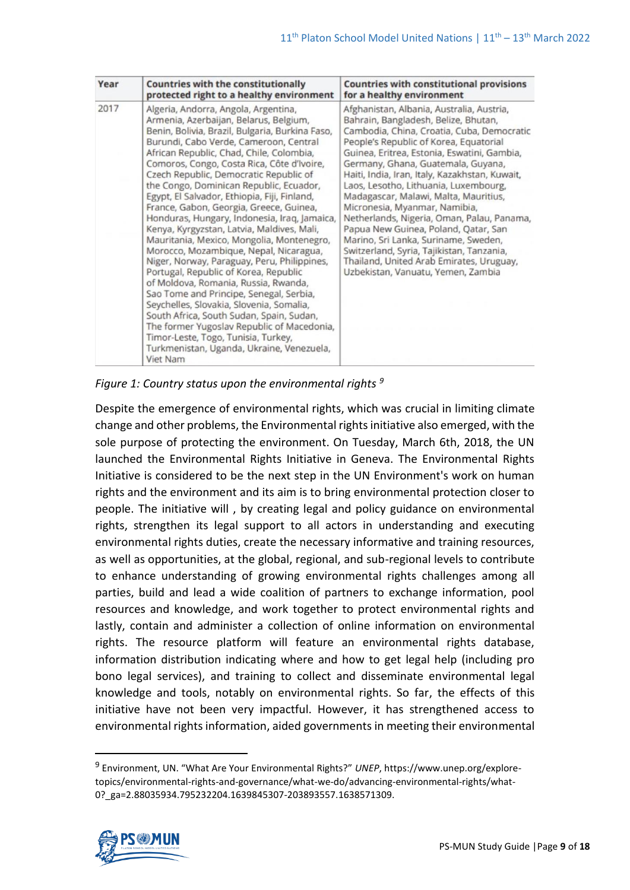| Year | <b>Countries with the constitutionally</b><br>protected right to a healthy environment                                                                                                                                                                                                                                                                                                                                                                                                                                                                                                                                                                                                                                                                                                                                                                                                                                                                                                                                                                      | <b>Countries with constitutional provisions</b><br>for a healthy environment                                                                                                                                                                                                                                                                                                                                                                                                                                                                                                                                                                                                                     |
|------|-------------------------------------------------------------------------------------------------------------------------------------------------------------------------------------------------------------------------------------------------------------------------------------------------------------------------------------------------------------------------------------------------------------------------------------------------------------------------------------------------------------------------------------------------------------------------------------------------------------------------------------------------------------------------------------------------------------------------------------------------------------------------------------------------------------------------------------------------------------------------------------------------------------------------------------------------------------------------------------------------------------------------------------------------------------|--------------------------------------------------------------------------------------------------------------------------------------------------------------------------------------------------------------------------------------------------------------------------------------------------------------------------------------------------------------------------------------------------------------------------------------------------------------------------------------------------------------------------------------------------------------------------------------------------------------------------------------------------------------------------------------------------|
| 2017 | Algeria, Andorra, Angola, Argentina,<br>Armenia, Azerbaijan, Belarus, Belgium,<br>Benin, Bolivia, Brazil, Bulgaria, Burkina Faso,<br>Burundi, Cabo Verde, Cameroon, Central<br>African Republic, Chad, Chile, Colombia,<br>Comoros, Congo, Costa Rica, Côte d'Ivoire,<br>Czech Republic, Democratic Republic of<br>the Congo, Dominican Republic, Ecuador,<br>Egypt, El Salvador, Ethiopia, Fiji, Finland,<br>France, Gabon, Georgia, Greece, Guinea,<br>Honduras, Hungary, Indonesia, Iraq, Jamaica,<br>Kenya, Kyrgyzstan, Latvia, Maldives, Mali,<br>Mauritania, Mexico, Mongolia, Montenegro,<br>Morocco, Mozambique, Nepal, Nicaragua,<br>Niger, Norway, Paraguay, Peru, Philippines,<br>Portugal, Republic of Korea, Republic<br>of Moldova, Romania, Russia, Rwanda,<br>Sao Tome and Principe, Senegal, Serbia,<br>Seychelles, Slovakia, Slovenia, Somalia,<br>South Africa, South Sudan, Spain, Sudan,<br>The former Yugoslav Republic of Macedonia,<br>Timor-Leste, Togo, Tunisia, Turkey,<br>Turkmenistan, Uganda, Ukraine, Venezuela,<br>Viet Nam | Afghanistan, Albania, Australia, Austria,<br>Bahrain, Bangladesh, Belize, Bhutan,<br>Cambodia, China, Croatia, Cuba, Democratic<br>People's Republic of Korea, Equatorial<br>Guinea, Eritrea, Estonia, Eswatini, Gambia,<br>Germany, Ghana, Guatemala, Guyana,<br>Haiti, India, Iran, Italy, Kazakhstan, Kuwait,<br>Laos, Lesotho, Lithuania, Luxembourg,<br>Madagascar, Malawi, Malta, Mauritius,<br>Micronesia, Myanmar, Namibia,<br>Netherlands, Nigeria, Oman, Palau, Panama,<br>Papua New Guinea, Poland, Qatar, San<br>Marino, Sri Lanka, Suriname, Sweden,<br>Switzerland, Syria, Tajikistan, Tanzania,<br>Thailand, United Arab Emirates, Uruguay,<br>Uzbekistan, Vanuatu, Yemen, Zambia |

*Figure 1: Country status upon the environmental rights <sup>9</sup>*

Despite the emergence of environmental rights, which was crucial in limiting climate change and other problems, the Environmental rights initiative also emerged, with the sole purpose of protecting the environment. On Tuesday, March 6th, 2018, the UN launched the Environmental Rights Initiative in Geneva. The Environmental Rights Initiative is considered to be the next step in the UN Environment's work on human rights and the environment and its aim is to bring environmental protection closer to people. The initiative will , by creating legal and policy guidance on environmental rights, strengthen its legal support to all actors in understanding and executing environmental rights duties, create the necessary informative and training resources, as well as opportunities, at the global, regional, and sub-regional levels to contribute to enhance understanding of growing environmental rights challenges among all parties, build and lead a wide coalition of partners to exchange information, pool resources and knowledge, and work together to protect environmental rights and lastly, contain and administer a collection of online information on environmental rights. The resource platform will feature an environmental rights database, information distribution indicating where and how to get legal help (including pro bono legal services), and training to collect and disseminate environmental legal knowledge and tools, notably on environmental rights. So far, the effects of this initiative have not been very impactful. However, it has strengthened access to environmental rights information, aided governments in meeting their environmental

<sup>9</sup> Environment, UN. "What Are Your Environmental Rights?" *UNEP*, https://www.unep.org/exploretopics/environmental-rights-and-governance/what-we-do/advancing-environmental-rights/what-0? ga=2.88035934.795232204.1639845307-203893557.1638571309.

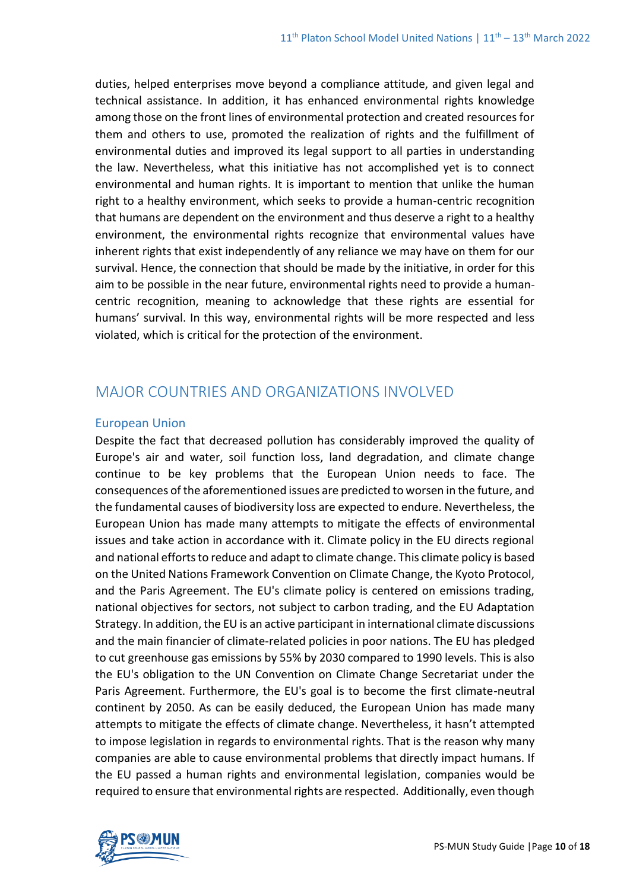duties, helped enterprises move beyond a compliance attitude, and given legal and technical assistance. In addition, it has enhanced environmental rights knowledge among those on the front lines of environmental protection and created resources for them and others to use, promoted the realization of rights and the fulfillment of environmental duties and improved its legal support to all parties in understanding the law. Nevertheless, what this initiative has not accomplished yet is to connect environmental and human rights. It is important to mention that unlike the human right to a healthy environment, which seeks to provide a human-centric recognition that humans are dependent on the environment and thus deserve a right to a healthy environment, the environmental rights recognize that environmental values have inherent rights that exist independently of any reliance we may have on them for our survival. Hence, the connection that should be made by the initiative, in order for this aim to be possible in the near future, environmental rights need to provide a humancentric recognition, meaning to acknowledge that these rights are essential for humans' survival. In this way, environmental rights will be more respected and less violated, which is critical for the protection of the environment.

# MAJOR COUNTRIES AND ORGANIZATIONS INVOLVED

### European Union

Despite the fact that decreased pollution has considerably improved the quality of Europe's air and water, soil function loss, land degradation, and climate change continue to be key problems that the European Union needs to face. The consequences of the aforementioned issues are predicted to worsen in the future, and the fundamental causes of biodiversity loss are expected to endure. Nevertheless, the European Union has made many attempts to mitigate the effects of environmental issues and take action in accordance with it. Climate policy in the EU directs regional and national efforts to reduce and adapt to climate change. This climate policy is based on the United Nations Framework Convention on Climate Change, the Kyoto Protocol, and the Paris Agreement. The EU's climate policy is centered on emissions trading, national objectives for sectors, not subject to carbon trading, and the EU Adaptation Strategy. In addition, the EU is an active participant in international climate discussions and the main financier of climate-related policies in poor nations. The EU has pledged to cut greenhouse gas emissions by 55% by 2030 compared to 1990 levels. This is also the EU's obligation to the UN Convention on Climate Change Secretariat under the Paris Agreement. Furthermore, the EU's goal is to become the first climate-neutral continent by 2050. As can be easily deduced, the European Union has made many attempts to mitigate the effects of climate change. Nevertheless, it hasn't attempted to impose legislation in regards to environmental rights. That is the reason why many companies are able to cause environmental problems that directly impact humans. If the EU passed a human rights and environmental legislation, companies would be required to ensure that environmental rights are respected. Additionally, even though

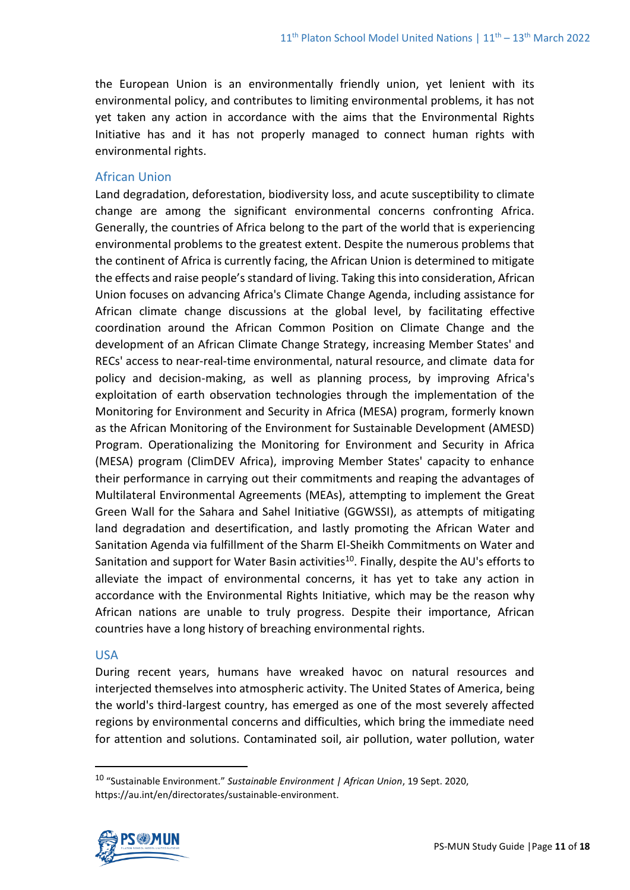the European Union is an environmentally friendly union, yet lenient with its environmental policy, and contributes to limiting environmental problems, it has not yet taken any action in accordance with the aims that the Environmental Rights Initiative has and it has not properly managed to connect human rights with environmental rights.

### African Union

Land degradation, deforestation, biodiversity loss, and acute susceptibility to climate change are among the significant environmental concerns confronting Africa. Generally, the countries of Africa belong to the part of the world that is experiencing environmental problems to the greatest extent. Despite the numerous problems that the continent of Africa is currently facing, the African Union is determined to mitigate the effects and raise people's standard of living. Taking this into consideration, African Union focuses on advancing Africa's Climate Change Agenda, including assistance for African climate change discussions at the global level, by facilitating effective coordination around the African Common Position on Climate Change and the development of an African Climate Change Strategy, increasing Member States' and RECs' access to near-real-time environmental, natural resource, and climate data for policy and decision-making, as well as planning process, by improving Africa's exploitation of earth observation technologies through the implementation of the Monitoring for Environment and Security in Africa (MESA) program, formerly known as the African Monitoring of the Environment for Sustainable Development (AMESD) Program. Operationalizing the Monitoring for Environment and Security in Africa (MESA) program (ClimDEV Africa), improving Member States' capacity to enhance their performance in carrying out their commitments and reaping the advantages of Multilateral Environmental Agreements (MEAs), attempting to implement the Great Green Wall for the Sahara and Sahel Initiative (GGWSSI), as attempts of mitigating land degradation and desertification, and lastly promoting the African Water and Sanitation Agenda via fulfillment of the Sharm El-Sheikh Commitments on Water and Sanitation and support for Water Basin activities<sup>10</sup>. Finally, despite the AU's efforts to alleviate the impact of environmental concerns, it has yet to take any action in accordance with the Environmental Rights Initiative, which may be the reason why African nations are unable to truly progress. Despite their importance, African countries have a long history of breaching environmental rights.

### USA

During recent years, humans have wreaked havoc on natural resources and interjected themselves into atmospheric activity. The United States of America, being the world's third-largest country, has emerged as one of the most severely affected regions by environmental concerns and difficulties, which bring the immediate need for attention and solutions. Contaminated soil, air pollution, water pollution, water

<sup>10</sup> "Sustainable Environment." *Sustainable Environment | African Union*, 19 Sept. 2020, https://au.int/en/directorates/sustainable-environment.

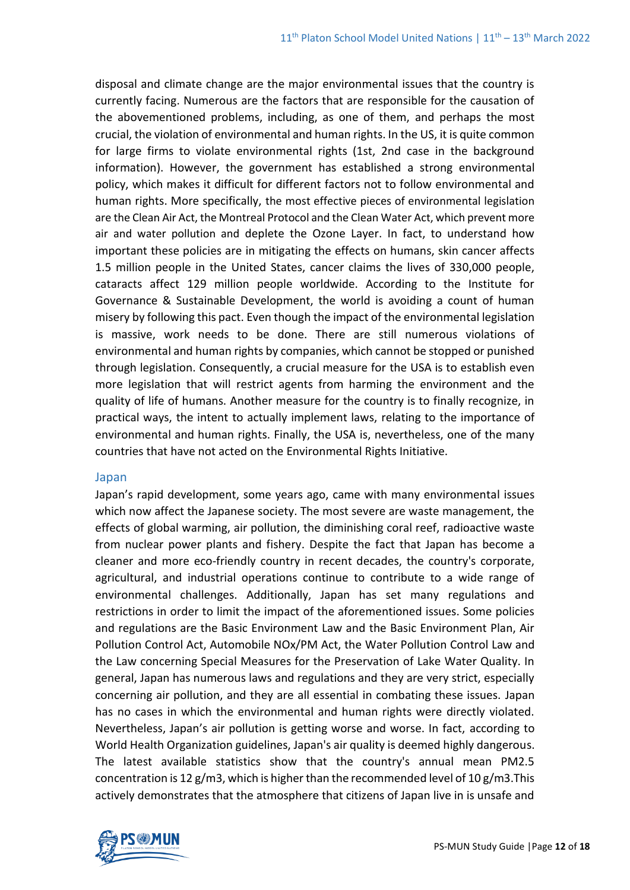disposal and climate change are the major environmental issues that the country is currently facing. Numerous are the factors that are responsible for the causation of the abovementioned problems, including, as one of them, and perhaps the most crucial, the violation of environmental and human rights. In the US, it is quite common for large firms to violate environmental rights (1st, 2nd case in the background information). However, the government has established a strong environmental policy, which makes it difficult for different factors not to follow environmental and human rights. More specifically, the most effective pieces of environmental legislation are the Clean Air Act, the Montreal Protocol and the Clean Water Act, which prevent more air and water pollution and deplete the Ozone Layer. In fact, to understand how important these policies are in mitigating the effects on humans, skin cancer affects 1.5 million people in the United States, cancer claims the lives of 330,000 people, cataracts affect 129 million people worldwide. According to the Institute for Governance & Sustainable Development, the world is avoiding a count of human misery by following this pact. Even though the impact of the environmental legislation is massive, work needs to be done. There are still numerous violations of environmental and human rights by companies, which cannot be stopped or punished through legislation. Consequently, a crucial measure for the USA is to establish even more legislation that will restrict agents from harming the environment and the quality of life of humans. Another measure for the country is to finally recognize, in practical ways, the intent to actually implement laws, relating to the importance of environmental and human rights. Finally, the USA is, nevertheless, one of the many countries that have not acted on the Environmental Rights Initiative.

#### Japan

Japan's rapid development, some years ago, came with many environmental issues which now affect the Japanese society. The most severe are waste management, the effects of global warming, air pollution, the diminishing coral reef, radioactive waste from nuclear power plants and fishery. Despite the fact that Japan has become a cleaner and more eco-friendly country in recent decades, the country's corporate, agricultural, and industrial operations continue to contribute to a wide range of environmental challenges. Additionally, Japan has set many regulations and restrictions in order to limit the impact of the aforementioned issues. Some policies and regulations are the Basic Environment Law and the Basic Environment Plan, Air Pollution Control Act, Automobile NOx/PM Act, the Water Pollution Control Law and the Law concerning Special Measures for the Preservation of Lake Water Quality. In general, Japan has numerous laws and regulations and they are very strict, especially concerning air pollution, and they are all essential in combating these issues. Japan has no cases in which the environmental and human rights were directly violated. Nevertheless, Japan's air pollution is getting worse and worse. In fact, according to World Health Organization guidelines, Japan's air quality is deemed highly dangerous. The latest available statistics show that the country's annual mean PM2.5 concentration is 12 g/m3, which is higher than the recommended level of 10 g/m3. This actively demonstrates that the atmosphere that citizens of Japan live in is unsafe and

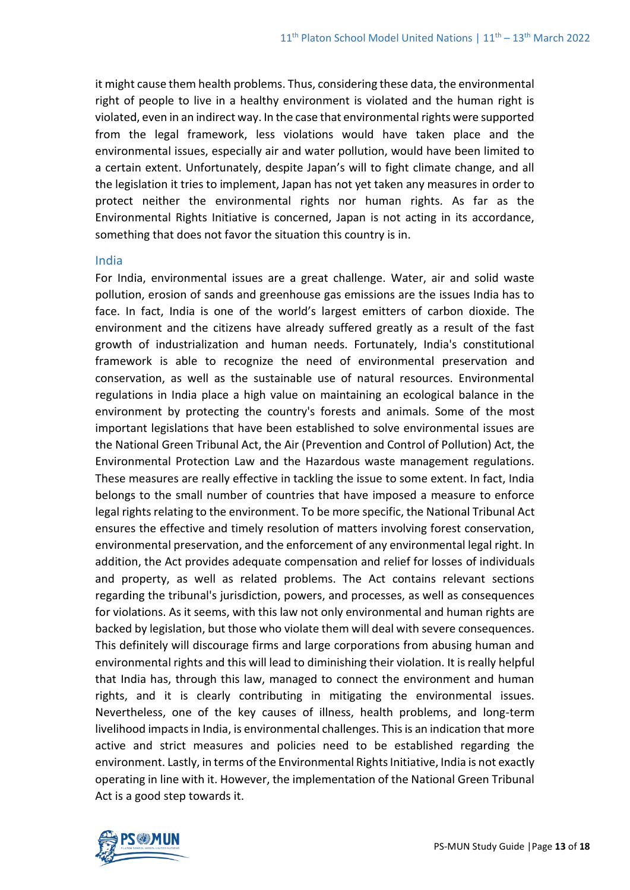it might cause them health problems. Thus, considering these data, the environmental right of people to live in a healthy environment is violated and the human right is violated, even in an indirect way. In the case that environmental rights were supported from the legal framework, less violations would have taken place and the environmental issues, especially air and water pollution, would have been limited to a certain extent. Unfortunately, despite Japan's will to fight climate change, and all the legislation it tries to implement, Japan has not yet taken any measures in order to protect neither the environmental rights nor human rights. As far as the Environmental Rights Initiative is concerned, Japan is not acting in its accordance, something that does not favor the situation this country is in.

#### India

For India, environmental issues are a great challenge. Water, air and solid waste pollution, erosion of sands and greenhouse gas emissions are the issues India has to face. In fact, India is one of the world's largest emitters of carbon dioxide. The environment and the citizens have already suffered greatly as a result of the fast growth of industrialization and human needs. Fortunately, India's constitutional framework is able to recognize the need of environmental preservation and conservation, as well as the sustainable use of natural resources. Environmental regulations in India place a high value on maintaining an ecological balance in the environment by protecting the country's forests and animals. Some of the most important legislations that have been established to solve environmental issues are the National Green Tribunal Act, the Air (Prevention and Control of Pollution) Act, the Environmental Protection Law and the Hazardous waste management regulations. These measures are really effective in tackling the issue to some extent. In fact, India belongs to the small number of countries that have imposed a measure to enforce legal rights relating to the environment. To be more specific, the National Tribunal Act ensures the effective and timely resolution of matters involving forest conservation, environmental preservation, and the enforcement of any environmental legal right. In addition, the Act provides adequate compensation and relief for losses of individuals and property, as well as related problems. The Act contains relevant sections regarding the tribunal's jurisdiction, powers, and processes, as well as consequences for violations. As it seems, with this law not only environmental and human rights are backed by legislation, but those who violate them will deal with severe consequences. This definitely will discourage firms and large corporations from abusing human and environmental rights and this will lead to diminishing their violation. It is really helpful that India has, through this law, managed to connect the environment and human rights, and it is clearly contributing in mitigating the environmental issues. Nevertheless, one of the key causes of illness, health problems, and long-term livelihood impacts in India, is environmental challenges. This is an indication that more active and strict measures and policies need to be established regarding the environment. Lastly, in terms of the Environmental Rights Initiative, India is not exactly operating in line with it. However, the implementation of the National Green Tribunal Act is a good step towards it.

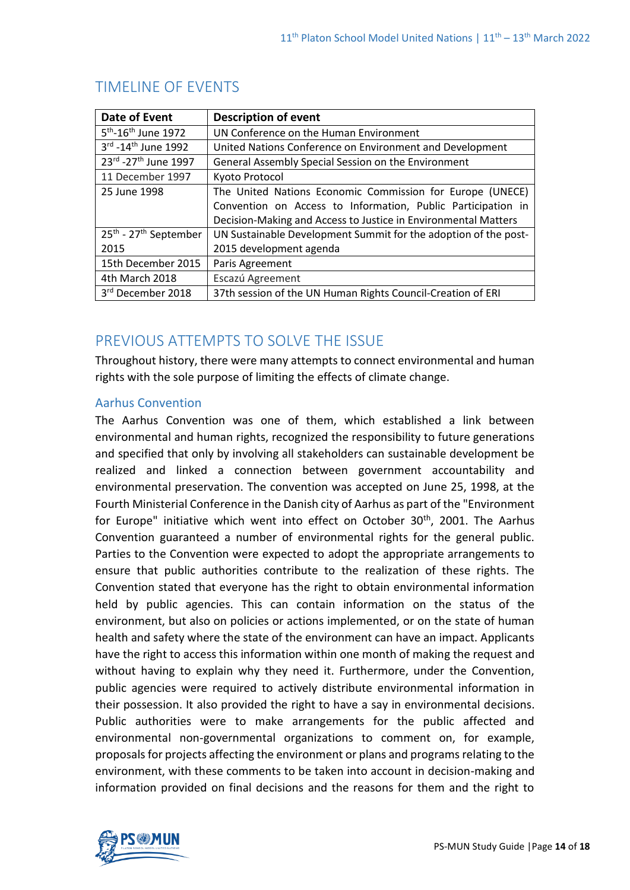| Date of Event                                 | <b>Description of event</b>                                     |  |
|-----------------------------------------------|-----------------------------------------------------------------|--|
| 5 <sup>th</sup> -16 <sup>th</sup> June 1972   | UN Conference on the Human Environment                          |  |
| 3rd -14 <sup>th</sup> June 1992               | United Nations Conference on Environment and Development        |  |
| 23rd - 27 <sup>th</sup> June 1997             | General Assembly Special Session on the Environment             |  |
| 11 December 1997                              | Kyoto Protocol                                                  |  |
| 25 June 1998                                  | The United Nations Economic Commission for Europe (UNECE)       |  |
|                                               | Convention on Access to Information, Public Participation in    |  |
|                                               | Decision-Making and Access to Justice in Environmental Matters  |  |
| 25 <sup>th</sup> - 27 <sup>th</sup> September | UN Sustainable Development Summit for the adoption of the post- |  |
| 2015                                          | 2015 development agenda                                         |  |
| 15th December 2015                            | Paris Agreement                                                 |  |
| 4th March 2018                                | Escazú Agreement                                                |  |
| 3rd December 2018                             | 37th session of the UN Human Rights Council-Creation of ERI     |  |

# TIMELINE OF EVENTS

# PREVIOUS ATTEMPTS TO SOLVE THE ISSUE

Throughout history, there were many attempts to connect environmental and human rights with the sole purpose of limiting the effects of climate change.

## Aarhus Convention

The Aarhus Convention was one of them, which established a link between environmental and human rights, recognized the responsibility to future generations and specified that only by involving all stakeholders can sustainable development be realized and linked a connection between government accountability and environmental preservation. The convention was accepted on June 25, 1998, at the Fourth Ministerial Conference in the Danish city of Aarhus as part of the "Environment for Europe" initiative which went into effect on October  $30<sup>th</sup>$ , 2001. The Aarhus Convention guaranteed a number of environmental rights for the general public. Parties to the Convention were expected to adopt the appropriate arrangements to ensure that public authorities contribute to the realization of these rights. The Convention stated that everyone has the right to obtain environmental information held by public agencies. This can contain information on the status of the environment, but also on policies or actions implemented, or on the state of human health and safety where the state of the environment can have an impact. Applicants have the right to access this information within one month of making the request and without having to explain why they need it. Furthermore, under the Convention, public agencies were required to actively distribute environmental information in their possession. It also provided the right to have a say in environmental decisions. Public authorities were to make arrangements for the public affected and environmental non-governmental organizations to comment on, for example, proposals for projects affecting the environment or plans and programs relating to the environment, with these comments to be taken into account in decision-making and information provided on final decisions and the reasons for them and the right to

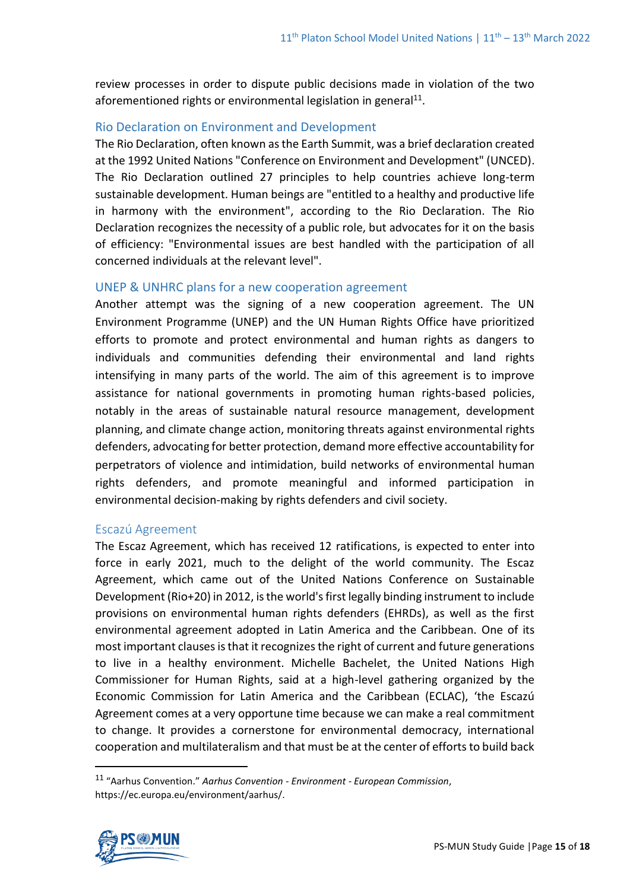review processes in order to dispute public decisions made in violation of the two aforementioned rights or environmental legislation in general<sup>11</sup>.

### Rio Declaration on Environment and Development

The Rio Declaration, often known as the Earth Summit, was a brief declaration created at the 1992 United Nations "Conference on Environment and Development" (UNCED). The Rio Declaration outlined 27 principles to help countries achieve long-term sustainable development. Human beings are "entitled to a healthy and productive life in harmony with the environment", according to the Rio Declaration. The Rio Declaration recognizes the necessity of a public role, but advocates for it on the basis of efficiency: "Environmental issues are best handled with the participation of all concerned individuals at the relevant level".

### UNEP & UNHRC plans for a new cooperation agreement

Another attempt was the signing of a new cooperation agreement. The UN Environment Programme (UNEP) and the UN Human Rights Office have prioritized efforts to promote and protect environmental and human rights as dangers to individuals and communities defending their environmental and land rights intensifying in many parts of the world. The aim of this agreement is to improve assistance for national governments in promoting human rights-based policies, notably in the areas of sustainable natural resource management, development planning, and climate change action, monitoring threats against environmental rights defenders, advocating for better protection, demand more effective accountability for perpetrators of violence and intimidation, build networks of environmental human rights defenders, and promote meaningful and informed participation in environmental decision-making by rights defenders and civil society.

### Escazú Agreement

The Escaz Agreement, which has received 12 ratifications, is expected to enter into force in early 2021, much to the delight of the world community. The Escaz Agreement, which came out of the United Nations Conference on Sustainable Development (Rio+20) in 2012, is the world's first legally binding instrument to include provisions on environmental human rights defenders (EHRDs), as well as the first environmental agreement adopted in Latin America and the Caribbean. One of its most important clauses is that it recognizes the right of current and future generations to live in a healthy environment. Michelle Bachelet, the United Nations High Commissioner for Human Rights, said at a high-level gathering organized by the Economic Commission for Latin America and the Caribbean (ECLAC), 'the Escazú Agreement comes at a very opportune time because we can make a real commitment to change. It provides a cornerstone for environmental democracy, international cooperation and multilateralism and that must be at the center of efforts to build back

<sup>11</sup> "Aarhus Convention." *Aarhus Convention - Environment - European Commission*, https://ec.europa.eu/environment/aarhus/.

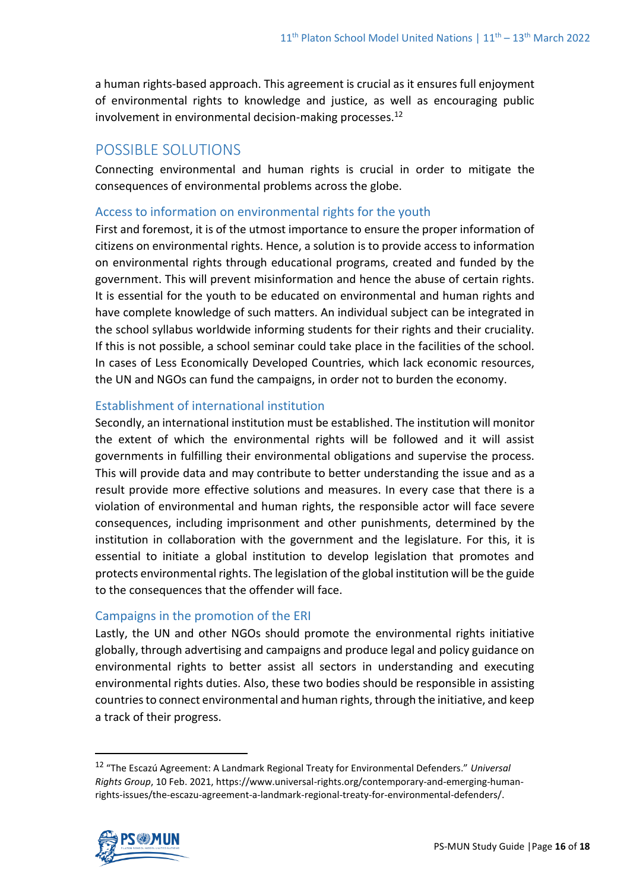a human rights-based approach. This agreement is crucial as it ensures full enjoyment of environmental rights to knowledge and justice, as well as encouraging public involvement in environmental decision-making processes.<sup>12</sup>

# POSSIBLE SOLUTIONS

Connecting environmental and human rights is crucial in order to mitigate the consequences of environmental problems across the globe.

### Access to information on environmental rights for the youth

First and foremost, it is of the utmost importance to ensure the proper information of citizens on environmental rights. Hence, a solution is to provide access to information on environmental rights through educational programs, created and funded by the government. This will prevent misinformation and hence the abuse of certain rights. It is essential for the youth to be educated on environmental and human rights and have complete knowledge of such matters. An individual subject can be integrated in the school syllabus worldwide informing students for their rights and their cruciality. If this is not possible, a school seminar could take place in the facilities of the school. In cases of Less Economically Developed Countries, which lack economic resources, the UN and NGOs can fund the campaigns, in order not to burden the economy.

### Establishment of international institution

Secondly, an international institution must be established. The institution will monitor the extent of which the environmental rights will be followed and it will assist governments in fulfilling their environmental obligations and supervise the process. This will provide data and may contribute to better understanding the issue and as a result provide more effective solutions and measures. In every case that there is a violation of environmental and human rights, the responsible actor will face severe consequences, including imprisonment and other punishments, determined by the institution in collaboration with the government and the legislature. For this, it is essential to initiate a global institution to develop legislation that promotes and protects environmental rights. The legislation of the global institution will be the guide to the consequences that the offender will face.

### Campaigns in the promotion of the ERI

Lastly, the UN and other NGOs should promote the environmental rights initiative globally, through advertising and campaigns and produce legal and policy guidance on environmental rights to better assist all sectors in understanding and executing environmental rights duties. Also, these two bodies should be responsible in assisting countries to connect environmental and human rights, through the initiative, and keep a track of their progress.

<sup>12</sup> "The Escazú Agreement: A Landmark Regional Treaty for Environmental Defenders." *Universal Rights Group*, 10 Feb. 2021, https://www.universal-rights.org/contemporary-and-emerging-humanrights-issues/the-escazu-agreement-a-landmark-regional-treaty-for-environmental-defenders/.

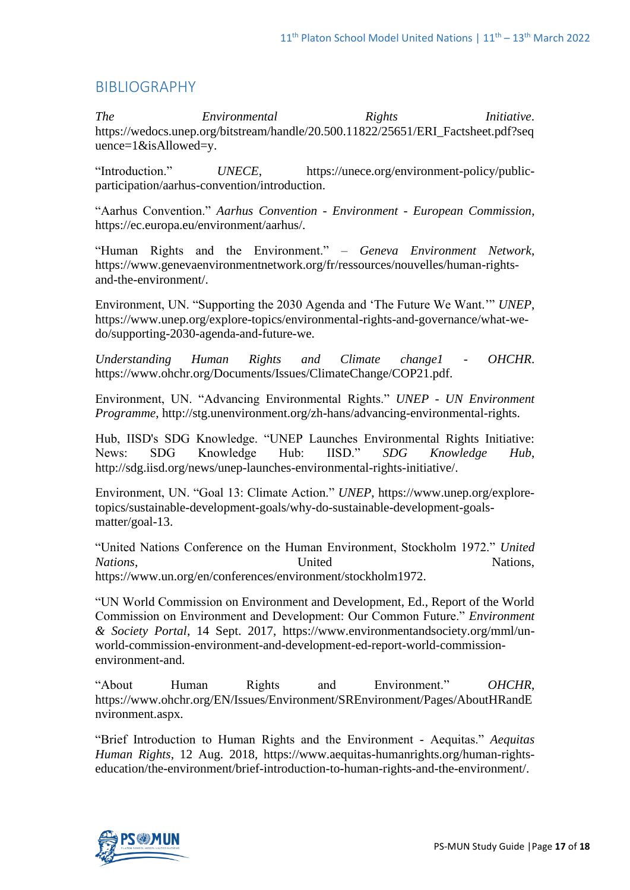# BIBLIOGRAPHY

*The Environmental Rights Initiative*. https://wedocs.unep.org/bitstream/handle/20.500.11822/25651/ERI\_Factsheet.pdf?seq uence=1&isAllowed=y.

"Introduction." *UNECE*, https://unece.org/environment-policy/publicparticipation/aarhus-convention/introduction.

"Aarhus Convention." *Aarhus Convention - Environment - European Commission*, https://ec.europa.eu/environment/aarhus/.

"Human Rights and the Environment." *– Geneva Environment Network*, https://www.genevaenvironmentnetwork.org/fr/ressources/nouvelles/human-rightsand-the-environment/.

Environment, UN. "Supporting the 2030 Agenda and 'The Future We Want.'" *UNEP*, https://www.unep.org/explore-topics/environmental-rights-and-governance/what-wedo/supporting-2030-agenda-and-future-we.

*Understanding Human Rights and Climate change1 - OHCHR*. https://www.ohchr.org/Documents/Issues/ClimateChange/COP21.pdf.

Environment, UN. "Advancing Environmental Rights." *UNEP - UN Environment Programme*, http://stg.unenvironment.org/zh-hans/advancing-environmental-rights.

Hub, IISD's SDG Knowledge. "UNEP Launches Environmental Rights Initiative: News: SDG Knowledge Hub: IISD." *SDG Knowledge Hub*, http://sdg.iisd.org/news/unep-launches-environmental-rights-initiative/.

Environment, UN. "Goal 13: Climate Action." *UNEP*, https://www.unep.org/exploretopics/sustainable-development-goals/why-do-sustainable-development-goalsmatter/goal-13.

"United Nations Conference on the Human Environment, Stockholm 1972." *United Nations*, Nations, Nations, Nations, https://www.un.org/en/conferences/environment/stockholm1972.

"UN World Commission on Environment and Development, Ed., Report of the World Commission on Environment and Development: Our Common Future." *Environment & Society Portal*, 14 Sept. 2017, https://www.environmentandsociety.org/mml/unworld-commission-environment-and-development-ed-report-world-commissionenvironment-and.

"About Human Rights and Environment." *OHCHR*, https://www.ohchr.org/EN/Issues/Environment/SREnvironment/Pages/AboutHRandE nvironment.aspx.

"Brief Introduction to Human Rights and the Environment - Aequitas." *Aequitas Human Rights*, 12 Aug. 2018, https://www.aequitas-humanrights.org/human-rightseducation/the-environment/brief-introduction-to-human-rights-and-the-environment/.